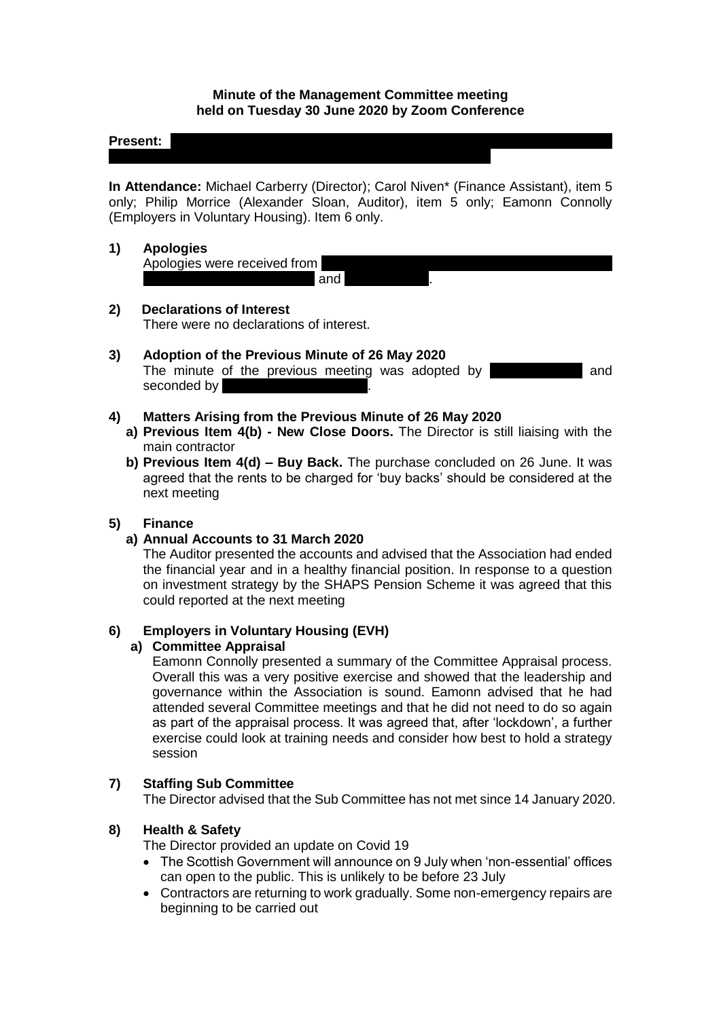#### **Minute of the Management Committee meeting held on Tuesday 30 June 2020 by Zoom Conference**

#### **Present:**  $\vert$

**In Attendance:** Michael Carberry (Director); Carol Niven\* (Finance Assistant), item 5 only; Philip Morrice (Alexander Sloan, Auditor), item 5 only; Eamonn Connolly (Employers in Voluntary Housing). Item 6 only.

#### **1) Apologies**

Apologies were received from Sakina Masih; Rose McLeish and Catherine Neil. Neil. Neil. Neil. Neil. Neil. Neil. Neil. Neil. Neil. Neil. Nei

#### **2) Declarations of Interest** There were no declarations of interest.

#### **3) Adoption of the Previous Minute of 26 May 2020** The minute of the previous meeting was adopted by **Accelerate and** and seconded by

## **4) Matters Arising from the Previous Minute of 26 May 2020**

- **a) Previous Item 4(b) - New Close Doors.** The Director is still liaising with the main contractor
- **b) Previous Item 4(d) – Buy Back.** The purchase concluded on 26 June. It was agreed that the rents to be charged for 'buy backs' should be considered at the next meeting

## **5) Finance**

### **a) Annual Accounts to 31 March 2020**

The Auditor presented the accounts and advised that the Association had ended the financial year and in a healthy financial position. In response to a question on investment strategy by the SHAPS Pension Scheme it was agreed that this could reported at the next meeting

### **6) Employers in Voluntary Housing (EVH)**

#### **a) Committee Appraisal**

Eamonn Connolly presented a summary of the Committee Appraisal process. Overall this was a very positive exercise and showed that the leadership and governance within the Association is sound. Eamonn advised that he had attended several Committee meetings and that he did not need to do so again as part of the appraisal process. It was agreed that, after 'lockdown', a further exercise could look at training needs and consider how best to hold a strategy session

### **7) Staffing Sub Committee**

The Director advised that the Sub Committee has not met since 14 January 2020.

### **8) Health & Safety**

The Director provided an update on Covid 19

- The Scottish Government will announce on 9 July when 'non-essential' offices can open to the public. This is unlikely to be before 23 July
- Contractors are returning to work gradually. Some non-emergency repairs are beginning to be carried out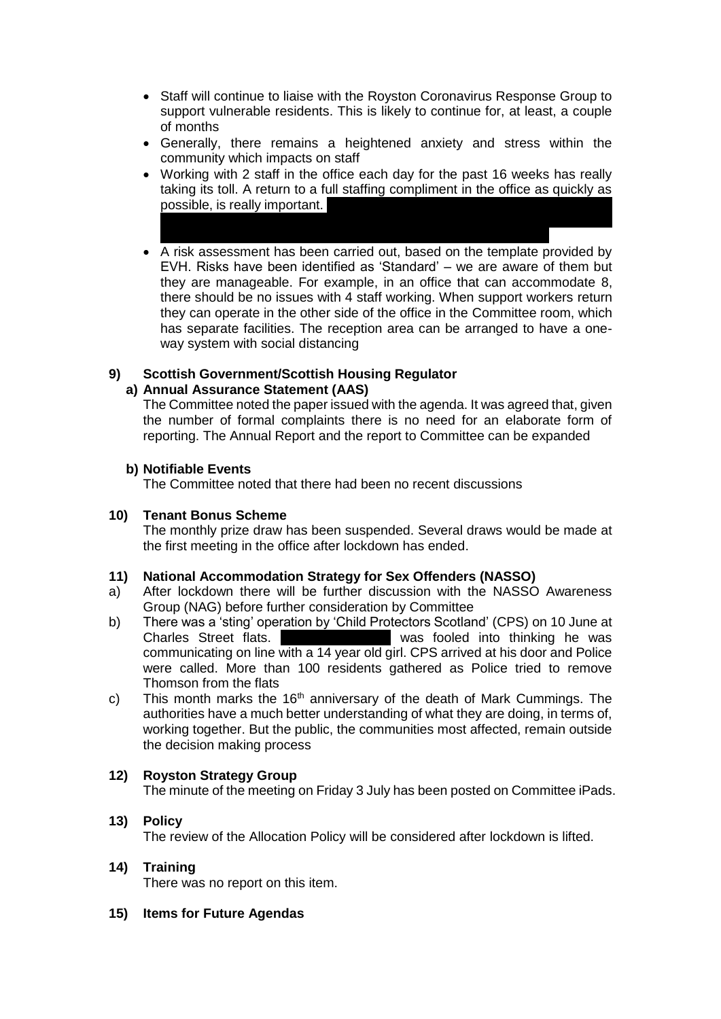- Staff will continue to liaise with the Royston Coronavirus Response Group to support vulnerable residents. This is likely to continue for, at least, a couple of months
- Generally, there remains a heightened anxiety and stress within the community which impacts on staff
- Working with 2 staff in the office each day for the past 16 weeks has really taking its toll. A return to a full staffing compliment in the office as quickly as possible, is really important. Monday and Friday until nurseries return to work, probably on 15 July. Carol
- A risk assessment has been carried out, based on the template provided by EVH. Risks have been identified as 'Standard' – we are aware of them but they are manageable. For example, in an office that can accommodate 8, there should be no issues with 4 staff working. When support workers return they can operate in the other side of the office in the Committee room, which has separate facilities. The reception area can be arranged to have a oneway system with social distancing

# **9) Scottish Government/Scottish Housing Regulator**

### **a) Annual Assurance Statement (AAS)**

The Committee noted the paper issued with the agenda. It was agreed that, given the number of formal complaints there is no need for an elaborate form of reporting. The Annual Report and the report to Committee can be expanded

### **b) Notifiable Events**

The Committee noted that there had been no recent discussions

### **10) Tenant Bonus Scheme**

The monthly prize draw has been suspended. Several draws would be made at the first meeting in the office after lockdown has ended.

## **11) National Accommodation Strategy for Sex Offenders (NASSO)**

- a) After lockdown there will be further discussion with the NASSO Awareness Group (NAG) before further consideration by Committee
- b) There was a 'sting' operation by 'Child Protectors Scotland' (CPS) on 10 June at Charles Street flats. communicating on line with a 14 year old girl. CPS arrived at his door and Police were called. More than 100 residents gathered as Police tried to remove Thomson from the flats
- c) This month marks the  $16<sup>th</sup>$  anniversary of the death of Mark Cummings. The authorities have a much better understanding of what they are doing, in terms of, working together. But the public, the communities most affected, remain outside the decision making process

### **12) Royston Strategy Group**

The minute of the meeting on Friday 3 July has been posted on Committee iPads.

- **13) Policy** The review of the Allocation Policy will be considered after lockdown is lifted.
- **14) Training**

There was no report on this item.

**15) Items for Future Agendas**